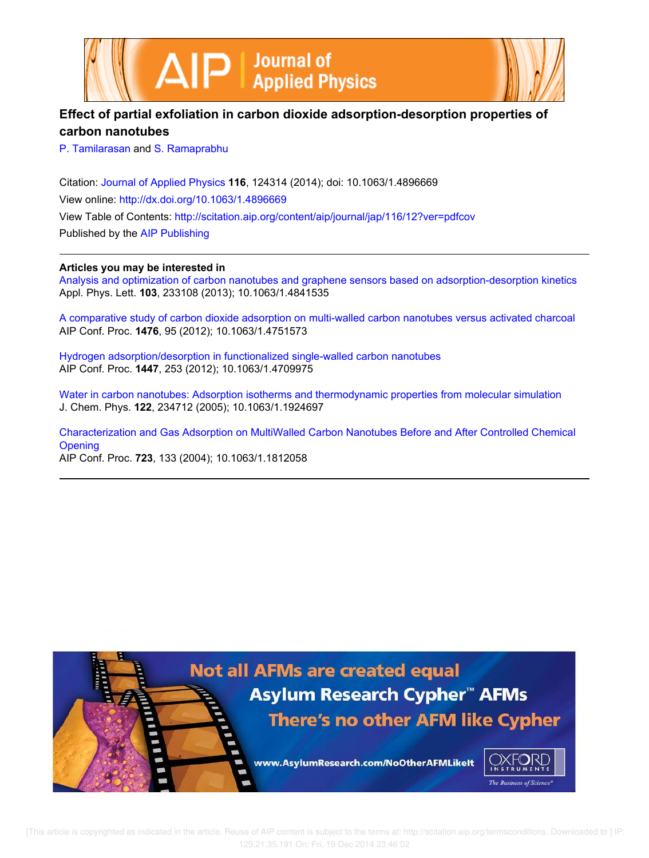



# **Effect of partial exfoliation in carbon dioxide adsorption-desorption properties of carbon nanotubes**

P. Tamilarasan and S. Ramaprabhu

Citation: Journal of Applied Physics **116**, 124314 (2014); doi: 10.1063/1.4896669 View online: http://dx.doi.org/10.1063/1.4896669 View Table of Contents: http://scitation.aip.org/content/aip/journal/jap/116/12?ver=pdfcov Published by the AIP Publishing

# **Articles you may be interested in**

Analysis and optimization of carbon nanotubes and graphene sensors based on adsorption-desorption kinetics Appl. Phys. Lett. **103**, 233108 (2013); 10.1063/1.4841535

A comparative study of carbon dioxide adsorption on multi-walled carbon nanotubes versus activated charcoal AIP Conf. Proc. **1476**, 95 (2012); 10.1063/1.4751573

Hydrogen adsorption/desorption in functionalized single-walled carbon nanotubes AIP Conf. Proc. **1447**, 253 (2012); 10.1063/1.4709975

Water in carbon nanotubes: Adsorption isotherms and thermodynamic properties from molecular simulation J. Chem. Phys. **122**, 234712 (2005); 10.1063/1.1924697

Characterization and Gas Adsorption on MultiWalled Carbon Nanotubes Before and After Controlled Chemical **Opening** AIP Conf. Proc. **723**, 133 (2004); 10.1063/1.1812058

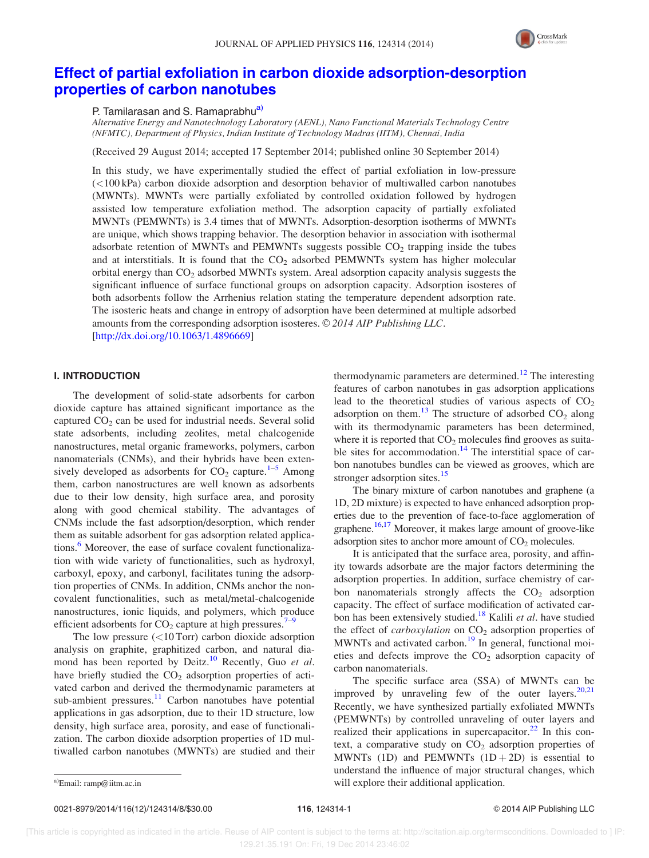

# Effect of partial exfoliation in carbon dioxide adsorption-desorption properties of carbon nanotubes

P. Tamilarasan and S. Ramaprabhu<sup>a)</sup>

Alternative Energy and Nanotechnology Laboratory (AENL), Nano Functional Materials Technology Centre (NFMTC), Department of Physics, Indian Institute of Technology Madras (IITM), Chennai, India

(Received 29 August 2014; accepted 17 September 2014; published online 30 September 2014)

In this study, we have experimentally studied the effect of partial exfoliation in low-pressure  $\approx$  100 kPa) carbon dioxide adsorption and desorption behavior of multiwalled carbon nanotubes (MWNTs). MWNTs were partially exfoliated by controlled oxidation followed by hydrogen assisted low temperature exfoliation method. The adsorption capacity of partially exfoliated MWNTs (PEMWNTs) is 3.4 times that of MWNTs. Adsorption-desorption isotherms of MWNTs are unique, which shows trapping behavior. The desorption behavior in association with isothermal adsorbate retention of MWNTs and PEMWNTs suggests possible  $CO<sub>2</sub>$  trapping inside the tubes and at interstitials. It is found that the  $CO<sub>2</sub>$  adsorbed PEMWNTs system has higher molecular orbital energy than CO<sub>2</sub> adsorbed MWNTs system. Areal adsorption capacity analysis suggests the significant influence of surface functional groups on adsorption capacity. Adsorption isosteres of both adsorbents follow the Arrhenius relation stating the temperature dependent adsorption rate. The isosteric heats and change in entropy of adsorption have been determined at multiple adsorbed amounts from the corresponding adsorption isosteres.  $\odot$  2014 AIP Publishing LLC. [http://dx.doi.org/10.1063/1.4896669]

# I. INTRODUCTION

The development of solid-state adsorbents for carbon dioxide capture has attained significant importance as the captured  $CO<sub>2</sub>$  can be used for industrial needs. Several solid state adsorbents, including zeolites, metal chalcogenide nanostructures, metal organic frameworks, polymers, carbon nanomaterials (CNMs), and their hybrids have been extensively developed as adsorbents for  $CO_2$  capture.<sup>1–5</sup> Among them, carbon nanostructures are well known as adsorbents due to their low density, high surface area, and porosity along with good chemical stability. The advantages of CNMs include the fast adsorption/desorption, which render them as suitable adsorbent for gas adsorption related applications.<sup>6</sup> Moreover, the ease of surface covalent functionalization with wide variety of functionalities, such as hydroxyl, carboxyl, epoxy, and carbonyl, facilitates tuning the adsorption properties of CNMs. In addition, CNMs anchor the noncovalent functionalities, such as metal/metal-chalcogenide nanostructures, ionic liquids, and polymers, which produce efficient adsorbents for  $CO<sub>2</sub>$  capture at high pressures.<sup>7–9</sup>

The low pressure  $(<10$  Torr) carbon dioxide adsorption analysis on graphite, graphitized carbon, and natural diamond has been reported by Deitz.<sup>10</sup> Recently, Guo et al. have briefly studied the  $CO<sub>2</sub>$  adsorption properties of activated carbon and derived the thermodynamic parameters at sub-ambient pressures. $\frac{11}{11}$  Carbon nanotubes have potential applications in gas adsorption, due to their 1D structure, low density, high surface area, porosity, and ease of functionalization. The carbon dioxide adsorption properties of 1D multiwalled carbon nanotubes (MWNTs) are studied and their thermodynamic parameters are determined.<sup>12</sup> The interesting features of carbon nanotubes in gas adsorption applications lead to the theoretical studies of various aspects of  $CO<sub>2</sub>$ adsorption on them.<sup>13</sup> The structure of adsorbed  $CO_2$  along with its thermodynamic parameters has been determined, where it is reported that  $CO<sub>2</sub>$  molecules find grooves as suitable sites for accommodation. $14$  The interstitial space of carbon nanotubes bundles can be viewed as grooves, which are stronger adsorption sites.<sup>15</sup>

The binary mixture of carbon nanotubes and graphene (a 1D, 2D mixture) is expected to have enhanced adsorption properties due to the prevention of face-to-face agglomeration of graphene.<sup>16,17</sup> Moreover, it makes large amount of groove-like adsorption sites to anchor more amount of  $CO<sub>2</sub>$  molecules.

It is anticipated that the surface area, porosity, and affinity towards adsorbate are the major factors determining the adsorption properties. In addition, surface chemistry of carbon nanomaterials strongly affects the  $CO<sub>2</sub>$  adsorption capacity. The effect of surface modification of activated carbon has been extensively studied.<sup>18</sup> Kalili et al. have studied the effect of *carboxylation* on  $CO<sub>2</sub>$  adsorption properties of MWNTs and activated carbon.<sup>19</sup> In general, functional moieties and defects improve the  $CO<sub>2</sub>$  adsorption capacity of carbon nanomaterials.

The specific surface area (SSA) of MWNTs can be improved by unraveling few of the outer layers. $20,21$ Recently, we have synthesized partially exfoliated MWNTs (PEMWNTs) by controlled unraveling of outer layers and realized their applications in supercapacitor. $^{22}$  In this context, a comparative study on  $CO<sub>2</sub>$  adsorption properties of MWNTs (1D) and PEMWNTs  $(1D+2D)$  is essential to understand the influence of major structural changes, which a)Email: ramp@iitm.ac.in a)Email: ramp@iitm.ac.in a)Email: ramp@iitm.ac.in

0021-8979/2014/116(12)/124314/8/\$30.00 116, 124314-1 © 2014 AIP Publishing LLC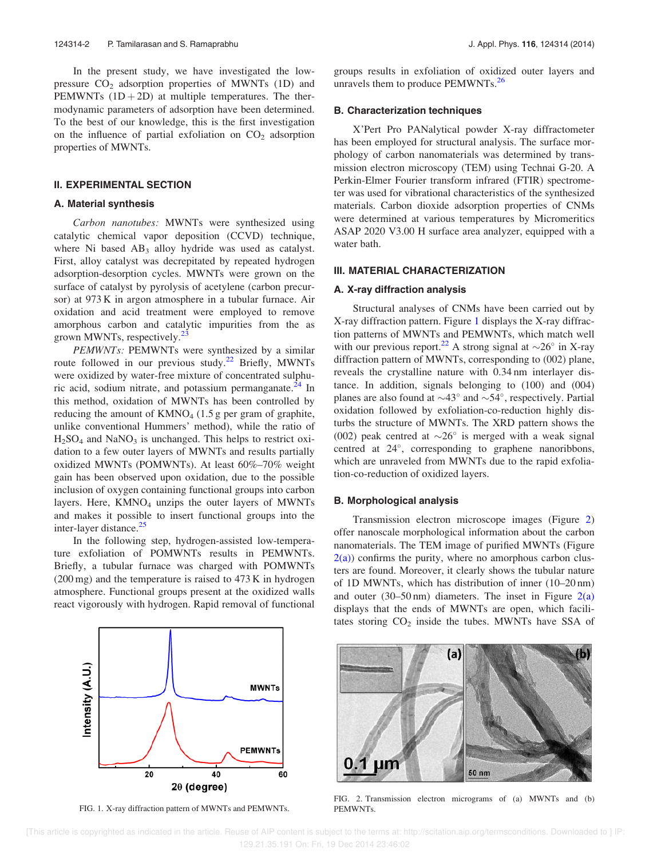In the present study, we have investigated the lowpressure  $CO<sub>2</sub>$  adsorption properties of MWNTs (1D) and PEMWNTs  $(1D+2D)$  at multiple temperatures. The thermodynamic parameters of adsorption have been determined. To the best of our knowledge, this is the first investigation on the influence of partial exfoliation on  $CO<sub>2</sub>$  adsorption properties of MWNTs.

# **II. EXPERIMENTAL SECTION**

#### A. Material synthesis

Carbon nanotubes: MWNTs were synthesized using catalytic chemical vapor deposition (CCVD) technique, where Ni based  $AB_3$  alloy hydride was used as catalyst. First, alloy catalyst was decrepitated by repeated hydrogen adsorption-desorption cycles. MWNTs were grown on the surface of catalyst by pyrolysis of acetylene (carbon precursor) at 973 K in argon atmosphere in a tubular furnace. Air oxidation and acid treatment were employed to remove amorphous carbon and catalytic impurities from the as grown MWNTs, respectively.<sup>23</sup>

PEMWNTs: PEMWNTs were synthesized by a similar route followed in our previous study.<sup>22</sup> Briefly, MWNTs were oxidized by water-free mixture of concentrated sulphuric acid, sodium nitrate, and potassium permanganate.<sup>24</sup> In this method, oxidation of MWNTs has been controlled by reducing the amount of  $KMO<sub>4</sub>$  (1.5 g per gram of graphite, unlike conventional Hummers' method), while the ratio of  $H<sub>2</sub>SO<sub>4</sub>$  and NaNO<sub>3</sub> is unchanged. This helps to restrict oxidation to a few outer layers of MWNTs and results partially oxidized MWNTs (POMWNTs). At least 60%–70% weight gain has been observed upon oxidation, due to the possible inclusion of oxygen containing functional groups into carbon layers. Here,  $KMNO<sub>4</sub>$  unzips the outer layers of MWNTs and makes it possible to insert functional groups into the inter-layer distance.<sup>25</sup>

In the following step, hydrogen-assisted low-temperature exfoliation of POMWNTs results in PEMWNTs. Briefly, a tubular furnace was charged with POMWNTs (200 mg) and the temperature is raised to 473 K in hydrogen atmosphere. Functional groups present at the oxidized walls react vigorously with hydrogen. Rapid removal of functional



FIG. 1. X-ray diffraction pattern of MWNTs and PEMWNTs.

groups results in exfoliation of oxidized outer layers and unravels them to produce PEMWNTs.<sup>26</sup>

## B. Characterization techniques

X'Pert Pro PANalytical powder X-ray diffractometer has been employed for structural analysis. The surface morphology of carbon nanomaterials was determined by transmission electron microscopy (TEM) using Technai G-20. A Perkin-Elmer Fourier transform infrared (FTIR) spectrometer was used for vibrational characteristics of the synthesized materials. Carbon dioxide adsorption properties of CNMs were determined at various temperatures by Micromeritics ASAP 2020 V3.00 H surface area analyzer, equipped with a water bath.

# III. MATERIAL CHARACTERIZATION

## A. X-ray diffraction analysis

Structural analyses of CNMs have been carried out by X-ray diffraction pattern. Figure 1 displays the X-ray diffraction patterns of MWNTs and PEMWNTs, which match well with our previous report.<sup>22</sup> A strong signal at  $\sim$ 26° in X-ray diffraction pattern of MWNTs, corresponding to (002) plane, reveals the crystalline nature with 0.34 nm interlayer distance. In addition, signals belonging to (100) and (004) planes are also found at  $\sim$ 43° and  $\sim$ 54°, respectively. Partial oxidation followed by exfoliation-co-reduction highly disturbs the structure of MWNTs. The XRD pattern shows the (002) peak centred at  $\sim$ 26° is merged with a weak signal centred at 24 , corresponding to graphene nanoribbons, which are unraveled from MWNTs due to the rapid exfoliation-co-reduction of oxidized layers.

#### B. Morphological analysis

Transmission electron microscope images (Figure 2) offer nanoscale morphological information about the carbon nanomaterials. The TEM image of purified MWNTs (Figure  $2(a)$ ) confirms the purity, where no amorphous carbon clusters are found. Moreover, it clearly shows the tubular nature of 1D MWNTs, which has distribution of inner (10–20 nm) and outer  $(30-50 \text{ nm})$  diameters. The inset in Figure  $2(a)$ displays that the ends of MWNTs are open, which facilitates storing  $CO<sub>2</sub>$  inside the tubes. MWNTs have SSA of



FIG. 2. Transmission electron micrograms of (a) MWNTs and (b) PEMWNTs.

 [This article is copyrighted as indicated in the article. Reuse of AIP content is subject to the terms at: http://scitation.aip.org/termsconditions. Downloaded to ] IP: 129.21.35.191 On: Fri, 19 Dec 2014 23:46:02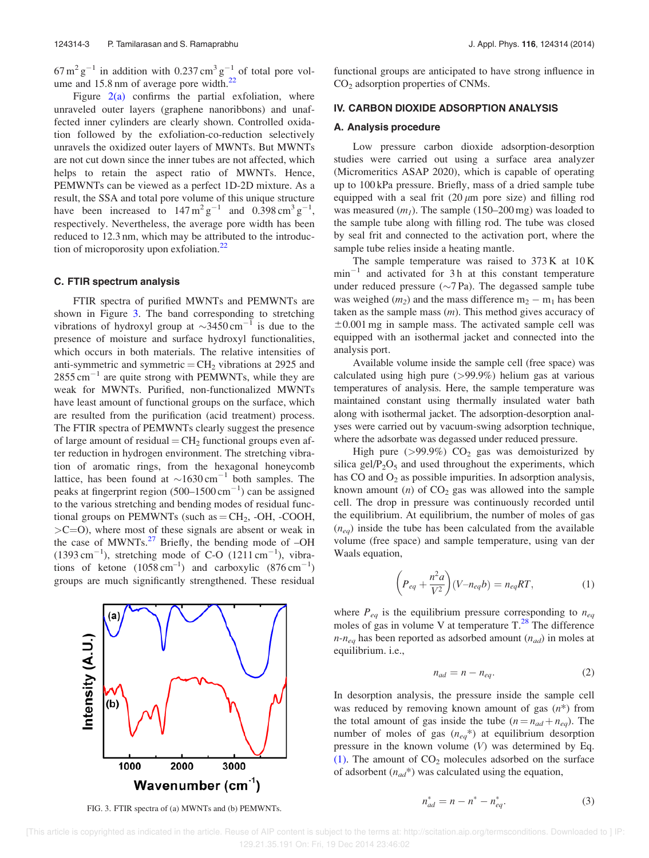$67 \text{ m}^2 \text{ g}^{-1}$  in addition with 0.237 cm<sup>3</sup> g<sup>-1</sup> of total pore volume and 15.8 nm of average pore width.<sup>22</sup>

Figure  $2(a)$  confirms the partial exfoliation, where unraveled outer layers (graphene nanoribbons) and unaffected inner cylinders are clearly shown. Controlled oxidation followed by the exfoliation-co-reduction selectively unravels the oxidized outer layers of MWNTs. But MWNTs are not cut down since the inner tubes are not affected, which helps to retain the aspect ratio of MWNTs. Hence, PEMWNTs can be viewed as a perfect 1D-2D mixture. As a result, the SSA and total pore volume of this unique structure have been increased to  $147 \text{ m}^2 \text{ g}^{-1}$  and  $0.398 \text{ cm}^3 \text{ g}^{-1}$ , respectively. Nevertheless, the average pore width has been reduced to 12.3 nm, which may be attributed to the introduction of microporosity upon exfoliation. $22$ 

#### C. FTIR spectrum analysis

FTIR spectra of purified MWNTs and PEMWNTs are shown in Figure 3. The band corresponding to stretching vibrations of hydroxyl group at  $\sim$ 3450 cm<sup>-1</sup> is due to the presence of moisture and surface hydroxyl functionalities, which occurs in both materials. The relative intensities of anti-symmetric and symmetric  $=$  CH<sub>2</sub> vibrations at 2925 and  $2855 \text{ cm}^{-1}$  are quite strong with PEMWNTs, while they are weak for MWNTs. Purified, non-functionalized MWNTs have least amount of functional groups on the surface, which are resulted from the purification (acid treatment) process. The FTIR spectra of PEMWNTs clearly suggest the presence of large amount of residual =  $\text{CH}_2$  functional groups even after reduction in hydrogen environment. The stretching vibration of aromatic rings, from the hexagonal honeycomb lattice, has been found at  $\sim 1630 \text{ cm}^{-1}$  both samples. The peaks at fingerprint region  $(500-1500 \text{ cm}^{-1})$  can be assigned to the various stretching and bending modes of residual functional groups on PEMWNTs (such as  $=$  CH<sub>2</sub>, -OH, -COOH,  $>C=O$ ), where most of these signals are absent or weak in the case of MWNTs. $^{27}$  Briefly, the bending mode of -OH  $(1393 \text{ cm}^{-1})$ , stretching mode of C-O  $(1211 \text{ cm}^{-1})$ , vibrations of ketone  $(1058 \text{ cm}^{-1})$  and carboxylic  $(876 \text{ cm}^{-1})$ groups are much significantly strengthened. These residual



FIG. 3. FTIR spectra of (a) MWNTs and (b) PEMWNTs.

functional groups are anticipated to have strong influence in CO<sup>2</sup> adsorption properties of CNMs.

#### IV. CARBON DIOXIDE ADSORPTION ANALYSIS

#### A. Analysis procedure

Low pressure carbon dioxide adsorption-desorption studies were carried out using a surface area analyzer (Micromeritics ASAP 2020), which is capable of operating up to 100 kPa pressure. Briefly, mass of a dried sample tube equipped with a seal frit  $(20 \mu m)$  pore size) and filling rod was measured  $(m_l)$ . The sample (150–200 mg) was loaded to the sample tube along with filling rod. The tube was closed by seal frit and connected to the activation port, where the sample tube relies inside a heating mantle.

The sample temperature was raised to 373 K at 10 K  $min^{-1}$  and activated for 3 h at this constant temperature under reduced pressure  $({\sim}7 \text{ Pa})$ . The degassed sample tube was weighed  $(m_2)$  and the mass difference  $m_2 - m_1$  has been taken as the sample mass  $(m)$ . This method gives accuracy of  $\pm 0.001$  mg in sample mass. The activated sample cell was equipped with an isothermal jacket and connected into the analysis port.

Available volume inside the sample cell (free space) was calculated using high pure (>99.9%) helium gas at various temperatures of analysis. Here, the sample temperature was maintained constant using thermally insulated water bath along with isothermal jacket. The adsorption-desorption analyses were carried out by vacuum-swing adsorption technique, where the adsorbate was degassed under reduced pressure.

High pure ( $>99.9\%$ ) CO<sub>2</sub> gas was demoisturized by silica gel/ $P_2O_5$  and used throughout the experiments, which has  $CO$  and  $O<sub>2</sub>$  as possible impurities. In adsorption analysis, known amount  $(n)$  of  $CO<sub>2</sub>$  gas was allowed into the sample cell. The drop in pressure was continuously recorded until the equilibrium. At equilibrium, the number of moles of gas  $(n_{eq})$  inside the tube has been calculated from the available volume (free space) and sample temperature, using van der Waals equation,

$$
\left(P_{eq} + \frac{n^2 a}{V^2}\right)(V - n_{eq}b) = n_{eq}RT,\tag{1}
$$

where  $P_{eq}$  is the equilibrium pressure corresponding to  $n_{eq}$ moles of gas in volume V at temperature  $T<sup>28</sup>$ . The difference  $n-n_{eq}$  has been reported as adsorbed amount  $(n_{ad})$  in moles at equilibrium. i.e.,

$$
n_{ad} = n - n_{eq}.\tag{2}
$$

In desorption analysis, the pressure inside the sample cell was reduced by removing known amount of gas  $(n^*)$  from the total amount of gas inside the tube  $(n = n_{ad} + n_{eq})$ . The number of moles of gas  $(n_{eq}^*)$  at equilibrium desorption pressure in the known volume  $(V)$  was determined by Eq. (1). The amount of  $CO<sub>2</sub>$  molecules adsorbed on the surface of adsorbent  $(n_{ad}^*)$  was calculated using the equation,

$$
n_{ad}^* = n - n^* - n_{eq}^*.
$$
 (3)

 [This article is copyrighted as indicated in the article. Reuse of AIP content is subject to the terms at: http://scitation.aip.org/termsconditions. Downloaded to ] IP: 129.21.35.191 On: Fri, 19 Dec 2014 23:46:02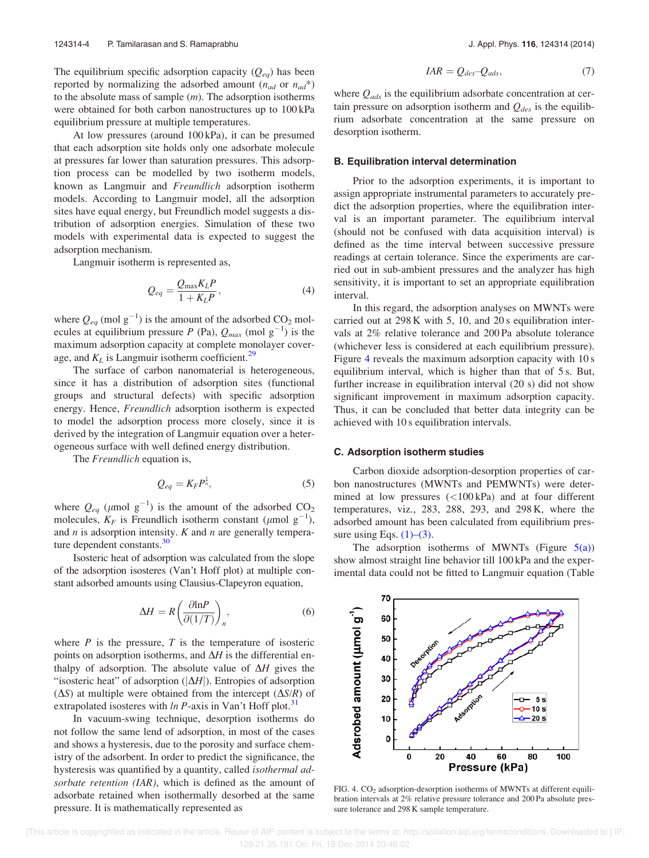The equilibrium specific adsorption capacity  $(Q_{eq})$  has been reported by normalizing the adsorbed amount  $(n_{ad}$  or  $n_{ad}^*$ ) to the absolute mass of sample  $(m)$ . The adsorption isotherms were obtained for both carbon nanostructures up to 100 kPa equilibrium pressure at multiple temperatures.

At low pressures (around 100 kPa), it can be presumed that each adsorption site holds only one adsorbate molecule at pressures far lower than saturation pressures. This adsorption process can be modelled by two isotherm models, known as Langmuir and Freundlich adsorption isotherm models. According to Langmuir model, all the adsorption sites have equal energy, but Freundlich model suggests a distribution of adsorption energies. Simulation of these two models with experimental data is expected to suggest the adsorption mechanism.

Langmuir isotherm is represented as,

$$
Q_{eq} = \frac{Q_{\text{max}} K_L P}{1 + K_L P},\tag{4}
$$

where  $Q_{eq}$  (mol  $g^{-1}$ ) is the amount of the adsorbed CO<sub>2</sub> molecules at equilibrium pressure P (Pa),  $Q_{max}$  (mol  $g^{-1}$ ) is the maximum adsorption capacity at complete monolayer coverage, and  $K_L$  is Langmuir isotherm coefficient.<sup>29</sup>

The surface of carbon nanomaterial is heterogeneous, since it has a distribution of adsorption sites (functional groups and structural defects) with specific adsorption energy. Hence, Freundlich adsorption isotherm is expected to model the adsorption process more closely, since it is derived by the integration of Langmuir equation over a heterogeneous surface with well defined energy distribution.

The *Freundlich* equation is,

$$
Q_{eq} = K_F P^{\frac{1}{n}},\tag{5}
$$

where  $Q_{eq}$  ( $\mu$ mol  $g^{-1}$ ) is the amount of the adsorbed CO<sub>2</sub> molecules,  $K_F$  is Freundlich isotherm constant ( $\mu$ mol g<sup>-1</sup>), and  $n$  is adsorption intensity.  $K$  and  $n$  are generally temperature dependent constants.<sup>30</sup>

Isosteric heat of adsorption was calculated from the slope of the adsorption isosteres (Van't Hoff plot) at multiple constant adsorbed amounts using Clausius-Clapeyron equation,

$$
\Delta H = R \left( \frac{\partial \ln P}{\partial (1/T)} \right)_n,\tag{6}
$$

where  $P$  is the pressure,  $T$  is the temperature of isosteric points on adsorption isotherms, and  $\Delta H$  is the differential enthalpy of adsorption. The absolute value of  $\Delta H$  gives the "isosteric heat" of adsorption ( $|\Delta H|$ ). Entropies of adsorption  $(\Delta S)$  at multiple were obtained from the intercept  $(\Delta S/R)$  of extrapolated isosteres with  $\ln P$ -axis in Van't Hoff plot.<sup>31</sup>

In vacuum-swing technique, desorption isotherms do not follow the same lend of adsorption, in most of the cases and shows a hysteresis, due to the porosity and surface chemistry of the adsorbent. In order to predict the significance, the hysteresis was quantified by a quantity, called *isothermal ad*sorbate retention (IAR), which is defined as the amount of adsorbate retained when isothermally desorbed at the same pressure. It is mathematically represented as

$$
IAR = Q_{des} - Q_{ads},\tag{7}
$$

where  $Q_{ads}$  is the equilibrium adsorbate concentration at certain pressure on adsorption isotherm and  $Q_{des}$  is the equilibrium adsorbate concentration at the same pressure on desorption isotherm.

## B. Equilibration interval determination

Prior to the adsorption experiments, it is important to assign appropriate instrumental parameters to accurately predict the adsorption properties, where the equilibration interval is an important parameter. The equilibrium interval (should not be confused with data acquisition interval) is defined as the time interval between successive pressure readings at certain tolerance. Since the experiments are carried out in sub-ambient pressures and the analyzer has high sensitivity, it is important to set an appropriate equilibration interval.

In this regard, the adsorption analyses on MWNTs were carried out at 298 K with 5, 10, and 20 s equilibration intervals at 2% relative tolerance and 200 Pa absolute tolerance (whichever less is considered at each equilibrium pressure). Figure 4 reveals the maximum adsorption capacity with 10 s equilibrium interval, which is higher than that of 5 s. But, further increase in equilibration interval (20 s) did not show significant improvement in maximum adsorption capacity. Thus, it can be concluded that better data integrity can be achieved with 10 s equilibration intervals.

#### C. Adsorption isotherm studies

Carbon dioxide adsorption-desorption properties of carbon nanostructures (MWNTs and PEMWNTs) were determined at low pressures  $(<100 \text{ kPa})$  and at four different temperatures, viz., 283, 288, 293, and 298 K, where the adsorbed amount has been calculated from equilibrium pressure using Eqs.  $(1)$ – $(3)$ .

The adsorption isotherms of MWNTs (Figure  $5(a)$ ) show almost straight line behavior till 100 kPa and the experimental data could not be fitted to Langmuir equation (Table



FIG. 4. CO<sub>2</sub> adsorption-desorption isotherms of MWNTs at different equilibration intervals at 2% relative pressure tolerance and 200 Pa absolute pressure tolerance and 298 K sample temperature.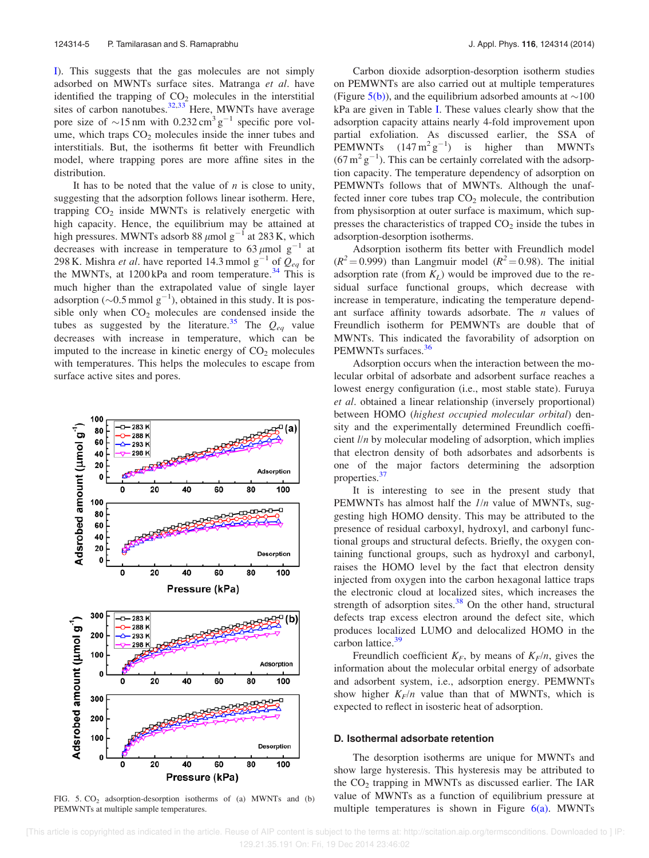I). This suggests that the gas molecules are not simply adsorbed on MWNTs surface sites. Matranga et al. have identified the trapping of  $CO<sub>2</sub>$  molecules in the interstitial sites of carbon nanotubes.<sup>32,33</sup> Here, MWNTs have average pore size of  $\sim$ 15 nm with 0.232 cm<sup>3</sup> g<sup>-1</sup> specific pore volume, which traps  $CO<sub>2</sub>$  molecules inside the inner tubes and interstitials. But, the isotherms fit better with Freundlich model, where trapping pores are more affine sites in the distribution.

It has to be noted that the value of  $n$  is close to unity, suggesting that the adsorption follows linear isotherm. Here, trapping  $CO<sub>2</sub>$  inside MWNTs is relatively energetic with high capacity. Hence, the equilibrium may be attained at high pressures. MWNTs adsorb 88  $\mu$ mol g<sup>-1</sup> at 283 K, which decreases with increase in temperature to 63  $\mu$ mol g<sup>-1</sup> at 298 K. Mishra *et al*. have reported 14.3 mmol  $g^{-1}$  of  $\mathcal{Q}_{eq}$  for the MWNTs, at  $1200 \text{ kPa}$  and room temperature.<sup>34</sup> This is much higher than the extrapolated value of single layer adsorption ( $\sim$ 0.5 mmol g<sup>-1</sup>), obtained in this study. It is possible only when  $CO<sub>2</sub>$  molecules are condensed inside the tubes as suggested by the literature.<sup>35</sup> The  $Q_{eq}$  value decreases with increase in temperature, which can be imputed to the increase in kinetic energy of  $CO<sub>2</sub>$  molecules with temperatures. This helps the molecules to escape from surface active sites and pores.



FIG.  $5. CO<sub>2</sub>$  adsorption-desorption isotherms of (a) MWNTs and (b) PEMWNTs at multiple sample temperatures.

Carbon dioxide adsorption-desorption isotherm studies on PEMWNTs are also carried out at multiple temperatures (Figure 5(b)), and the equilibrium adsorbed amounts at  $\sim$ 100 kPa are given in Table I. These values clearly show that the adsorption capacity attains nearly 4-fold improvement upon partial exfoliation. As discussed earlier, the SSA of PEMWNTs  $(147 \text{ m}^2 \text{ g}^{-1})$  is higher than MWNTs  $(67 \text{ m}^2 \text{ g}^{-1})$ . This can be certainly correlated with the adsorption capacity. The temperature dependency of adsorption on PEMWNTs follows that of MWNTs. Although the unaffected inner core tubes trap  $CO<sub>2</sub>$  molecule, the contribution from physisorption at outer surface is maximum, which suppresses the characteristics of trapped  $CO<sub>2</sub>$  inside the tubes in adsorption-desorption isotherms.

Adsorption isotherm fits better with Freundlich model  $(R^2 = 0.999)$  than Langmuir model  $(R^2 = 0.98)$ . The initial adsorption rate (from  $K_L$ ) would be improved due to the residual surface functional groups, which decrease with increase in temperature, indicating the temperature dependant surface affinity towards adsorbate. The  $n$  values of Freundlich isotherm for PEMWNTs are double that of MWNTs. This indicated the favorability of adsorption on PEMWNTs surfaces.<sup>36</sup>

Adsorption occurs when the interaction between the molecular orbital of adsorbate and adsorbent surface reaches a lowest energy configuration (i.e., most stable state). Furuya et al. obtained a linear relationship (inversely proportional) between HOMO (highest occupied molecular orbital) density and the experimentally determined Freundlich coefficient l/n by molecular modeling of adsorption, which implies that electron density of both adsorbates and adsorbents is one of the major factors determining the adsorption properties.<sup>37</sup>

It is interesting to see in the present study that PEMWNTs has almost half the  $1/n$  value of MWNTs, suggesting high HOMO density. This may be attributed to the presence of residual carboxyl, hydroxyl, and carbonyl functional groups and structural defects. Briefly, the oxygen containing functional groups, such as hydroxyl and carbonyl, raises the HOMO level by the fact that electron density injected from oxygen into the carbon hexagonal lattice traps the electronic cloud at localized sites, which increases the strength of adsorption sites.<sup>38</sup> On the other hand, structural defects trap excess electron around the defect site, which produces localized LUMO and delocalized HOMO in the carbon lattice. $39$ 

Freundlich coefficient  $K_F$ , by means of  $K_F/n$ , gives the information about the molecular orbital energy of adsorbate and adsorbent system, i.e., adsorption energy. PEMWNTs show higher  $K_F/n$  value than that of MWNTs, which is expected to reflect in isosteric heat of adsorption.

#### D. Isothermal adsorbate retention

The desorption isotherms are unique for MWNTs and show large hysteresis. This hysteresis may be attributed to the  $CO<sub>2</sub>$  trapping in MWNTs as discussed earlier. The IAR value of MWNTs as a function of equilibrium pressure at multiple temperatures is shown in Figure  $6(a)$ . MWNTs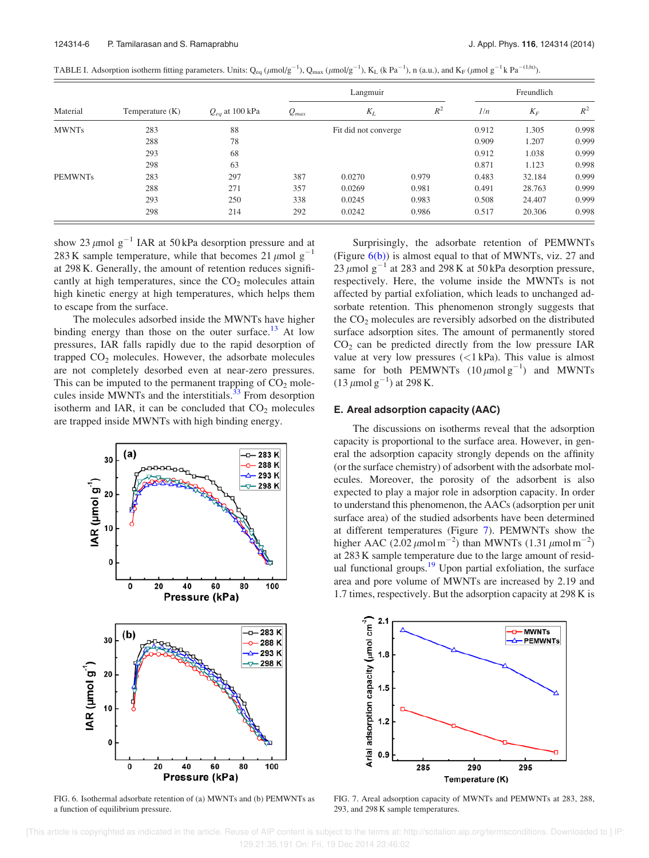|  | TABLE I. Adsorption isotherm fitting parameters. Units: $Q_{eq} (\mu mol/g^{-1})$ , $Q_{max} (\mu mol/g^{-1})$ , $K_L$ (k Pa <sup>-1</sup> ), n (a.u.), and $K_F (\mu mol g^{-1} k Pa^{-(1/n)})$ . |  |
|--|----------------------------------------------------------------------------------------------------------------------------------------------------------------------------------------------------|--|
|  |                                                                                                                                                                                                    |  |

| Material       | Temperature (K) | $Q_{eq}$ at 100 kPa | Langmuir  |                      |       | Freundlich |        |       |
|----------------|-----------------|---------------------|-----------|----------------------|-------|------------|--------|-------|
|                |                 |                     | $Q_{max}$ | $K_L$                | $R^2$ | 1/n        | $K_F$  | $R^2$ |
| <b>MWNTs</b>   | 283             | 88                  |           | Fit did not converge |       | 0.912      | 1.305  | 0.998 |
|                | 288             | 78                  |           |                      |       | 0.909      | 1.207  | 0.999 |
|                | 293             | 68                  |           |                      |       | 0.912      | 1.038  | 0.999 |
|                | 298             | 63                  |           |                      |       | 0.871      | 1.123  | 0.998 |
| <b>PEMWNTs</b> | 283             | 297                 | 387       | 0.0270               | 0.979 | 0.483      | 32.184 | 0.999 |
|                | 288             | 271                 | 357       | 0.0269               | 0.981 | 0.491      | 28.763 | 0.999 |
|                | 293             | 250                 | 338       | 0.0245               | 0.983 | 0.508      | 24.407 | 0.999 |
|                | 298             | 214                 | 292       | 0.0242               | 0.986 | 0.517      | 20.306 | 0.998 |

show 23  $\mu$ mol g<sup>-1</sup> IAR at 50 kPa desorption pressure and at 283 K sample temperature, while that becomes 21  $\mu$ mol g<sup>-1</sup> at 298 K. Generally, the amount of retention reduces significantly at high temperatures, since the  $CO<sub>2</sub>$  molecules attain high kinetic energy at high temperatures, which helps them to escape from the surface.

The molecules adsorbed inside the MWNTs have higher binding energy than those on the outer surface.<sup>13</sup> At low pressures, IAR falls rapidly due to the rapid desorption of trapped  $CO<sub>2</sub>$  molecules. However, the adsorbate molecules are not completely desorbed even at near-zero pressures. This can be imputed to the permanent trapping of  $CO<sub>2</sub>$  molecules inside MWNTs and the interstitials.<sup>33</sup> From desorption isotherm and IAR, it can be concluded that  $CO<sub>2</sub>$  molecules are trapped inside MWNTs with high binding energy.



FIG. 6. Isothermal adsorbate retention of (a) MWNTs and (b) PEMWNTs as a function of equilibrium pressure.

Surprisingly, the adsorbate retention of PEMWNTs (Figure  $6(b)$ ) is almost equal to that of MWNTs, viz. 27 and 23  $\mu$ mol g<sup>-1</sup> at 283 and 298 K at 50 kPa desorption pressure, respectively. Here, the volume inside the MWNTs is not affected by partial exfoliation, which leads to unchanged adsorbate retention. This phenomenon strongly suggests that the  $CO<sub>2</sub>$  molecules are reversibly adsorbed on the distributed surface adsorption sites. The amount of permanently stored  $CO<sub>2</sub>$  can be predicted directly from the low pressure IAR value at very low pressures (<1 kPa). This value is almost same for both PEMWNTs  $(10 \mu \text{mol g}^{-1})$  and MWNTs  $(13 \mu \text{mol g}^{-1})$  at 298 K.

# E. Areal adsorption capacity (AAC)

The discussions on isotherms reveal that the adsorption capacity is proportional to the surface area. However, in general the adsorption capacity strongly depends on the affinity (or the surface chemistry) of adsorbent with the adsorbate molecules. Moreover, the porosity of the adsorbent is also expected to play a major role in adsorption capacity. In order to understand this phenomenon, the AACs (adsorption per unit surface area) of the studied adsorbents have been determined at different temperatures (Figure 7). PEMWNTs show the higher AAC  $(2.02 \mu \text{mol m}^{-2})$  than MWNTs  $(1.31 \mu \text{mol m}^{-2})$ at 283 K sample temperature due to the large amount of residual functional groups. $19$  Upon partial exfoliation, the surface area and pore volume of MWNTs are increased by 2.19 and 1.7 times, respectively. But the adsorption capacity at 298 K is



FIG. 7. Areal adsorption capacity of MWNTs and PEMWNTs at 283, 288, 293, and 298 K sample temperatures.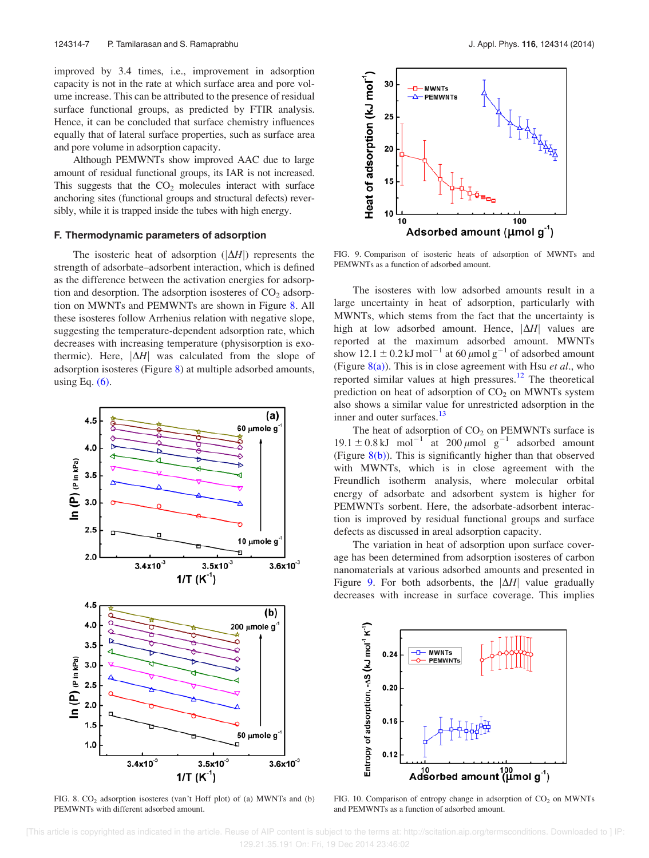improved by 3.4 times, i.e., improvement in adsorption capacity is not in the rate at which surface area and pore volume increase. This can be attributed to the presence of residual surface functional groups, as predicted by FTIR analysis. Hence, it can be concluded that surface chemistry influences equally that of lateral surface properties, such as surface area and pore volume in adsorption capacity.

Although PEMWNTs show improved AAC due to large amount of residual functional groups, its IAR is not increased. This suggests that the  $CO<sub>2</sub>$  molecules interact with surface anchoring sites (functional groups and structural defects) reversibly, while it is trapped inside the tubes with high energy.

### F. Thermodynamic parameters of adsorption

The isosteric heat of adsorption  $(|\Delta H|)$  represents the strength of adsorbate–adsorbent interaction, which is defined as the difference between the activation energies for adsorption and desorption. The adsorption isosteres of  $CO<sub>2</sub>$  adsorption on MWNTs and PEMWNTs are shown in Figure 8. All these isosteres follow Arrhenius relation with negative slope, suggesting the temperature-dependent adsorption rate, which decreases with increasing temperature (physisorption is exothermic). Here,  $|\Delta H|$  was calculated from the slope of adsorption isosteres (Figure 8) at multiple adsorbed amounts, using Eq.  $(6)$ .



FIG. 8.  $CO<sub>2</sub>$  adsorption isosteres (van't Hoff plot) of (a) MWNTs and (b) PEMWNTs with different adsorbed amount.



FIG. 9. Comparison of isosteric heats of adsorption of MWNTs and PEMWNTs as a function of adsorbed amount.

The isosteres with low adsorbed amounts result in a large uncertainty in heat of adsorption, particularly with MWNTs, which stems from the fact that the uncertainty is high at low adsorbed amount. Hence,  $|\Delta H|$  values are reported at the maximum adsorbed amount. MWNTs show 12.1  $\pm$  0.2 kJ mol<sup>-1</sup> at 60  $\mu$ mol g<sup>-1</sup> of adsorbed amount (Figure  $8(a)$ ). This is in close agreement with Hsu *et al.*, who reported similar values at high pressures. $12$  The theoretical prediction on heat of adsorption of  $CO<sub>2</sub>$  on MWNTs system also shows a similar value for unrestricted adsorption in the inner and outer surfaces.<sup>13</sup>

The heat of adsorption of  $CO<sub>2</sub>$  on PEMWNTs surface is  $19.1 \pm 0.8 \text{ kJ}$  mol<sup>-1</sup> at 200  $\mu$ mol g<sup>-1</sup> adsorbed amount (Figure 8(b)). This is significantly higher than that observed with MWNTs, which is in close agreement with the Freundlich isotherm analysis, where molecular orbital energy of adsorbate and adsorbent system is higher for PEMWNTs sorbent. Here, the adsorbate-adsorbent interaction is improved by residual functional groups and surface defects as discussed in areal adsorption capacity.

The variation in heat of adsorption upon surface coverage has been determined from adsorption isosteres of carbon nanomaterials at various adsorbed amounts and presented in Figure 9. For both adsorbents, the  $|\Delta H|$  value gradually decreases with increase in surface coverage. This implies



FIG. 10. Comparison of entropy change in adsorption of  $CO<sub>2</sub>$  on MWNTs and PEMWNTs as a function of adsorbed amount.

 [This article is copyrighted as indicated in the article. Reuse of AIP content is subject to the terms at: http://scitation.aip.org/termsconditions. Downloaded to ] IP: 129.21.35.191 On: Fri, 19 Dec 2014 23:46:02